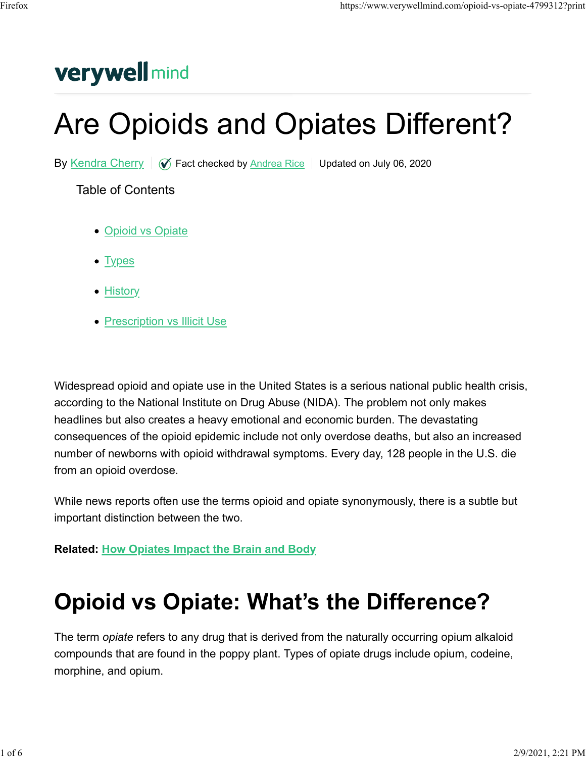### **verywell mind**

# Are Opioids and Opiates Different?

By Kendra Cherry  $\sqrt{Q}$  Fact checked by Andrea Rice Updated on July 06, 2020

Table of Contents

- Opioid vs Opiate
- Types
- History
- Prescription vs Illicit Use

Widespread opioid and opiate use in the United States is a serious national public health crisis, according to the National Institute on Drug Abuse (NIDA). The problem not only makes headlines but also creates a heavy emotional and economic burden. The devastating consequences of the opioid epidemic include not only overdose deaths, but also an increased number of newborns with opioid withdrawal symptoms. Every day, 128 people in the U.S. die from an opioid overdose.

While news reports often use the terms opioid and opiate synonymously, there is a subtle but important distinction between the two.

**Related: How Opiates Impact the Brain and Body**

### **Opioid vs Opiate: What's the Difference?**

The term *opiate* refers to any drug that is derived from the naturally occurring opium alkaloid compounds that are found in the poppy plant. Types of opiate drugs include opium, codeine, morphine, and opium.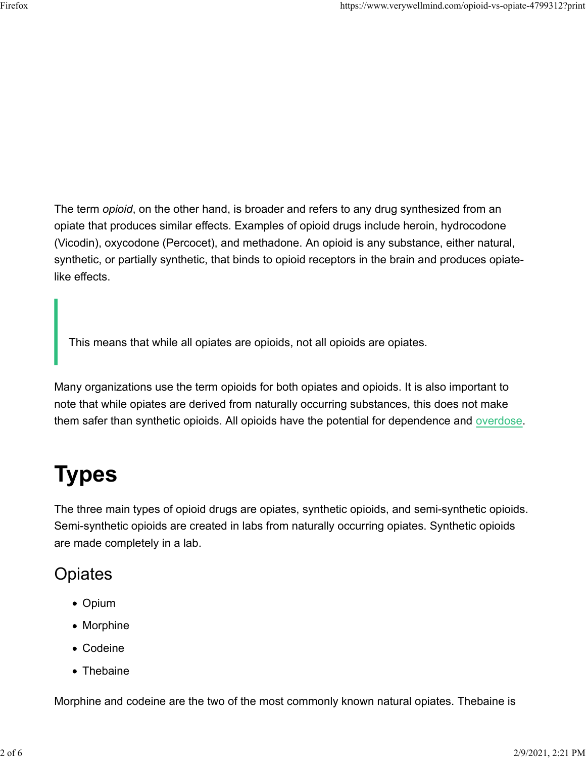The term *opioid*, on the other hand, is broader and refers to any drug synthesized from an opiate that produces similar effects. Examples of opioid drugs include heroin, hydrocodone (Vicodin), oxycodone (Percocet), and methadone. An opioid is any substance, either natural, synthetic, or partially synthetic, that binds to opioid receptors in the brain and produces opiatelike effects.

This means that while all opiates are opioids, not all opioids are opiates.

Many organizations use the term opioids for both opiates and opioids. It is also important to note that while opiates are derived from naturally occurring substances, this does not make them safer than synthetic opioids. All opioids have the potential for dependence and overdose.

## **Types**

The three main types of opioid drugs are opiates, synthetic opioids, and semi-synthetic opioids. Semi-synthetic opioids are created in labs from naturally occurring opiates. Synthetic opioids are made completely in a lab.

#### **Opiates**

- Opium
- Morphine
- Codeine
- Thebaine

Morphine and codeine are the two of the most commonly known natural opiates. Thebaine is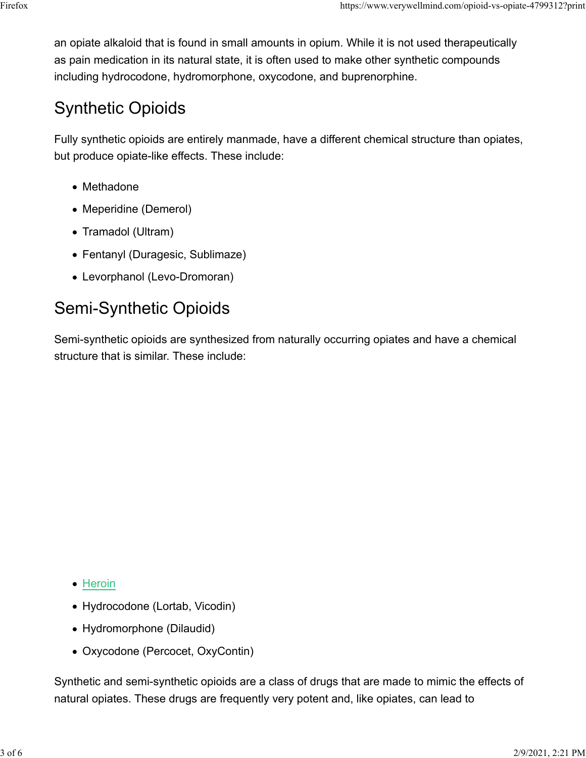an opiate alkaloid that is found in small amounts in opium. While it is not used therapeutically as pain medication in its natural state, it is often used to make other synthetic compounds including hydrocodone, hydromorphone, oxycodone, and buprenorphine.

### Synthetic Opioids

Fully synthetic opioids are entirely manmade, have a different chemical structure than opiates, but produce opiate-like effects. These include:

- Methadone
- Meperidine (Demerol)
- Tramadol (Ultram)
- Fentanyl (Duragesic, Sublimaze)
- Levorphanol (Levo-Dromoran)

### Semi-Synthetic Opioids

Semi-synthetic opioids are synthesized from naturally occurring opiates and have a chemical structure that is similar. These include:

- Heroin
- Hydrocodone (Lortab, Vicodin)
- Hydromorphone (Dilaudid)
- Oxycodone (Percocet, OxyContin)

Synthetic and semi-synthetic opioids are a class of drugs that are made to mimic the effects of natural opiates. These drugs are frequently very potent and, like opiates, can lead to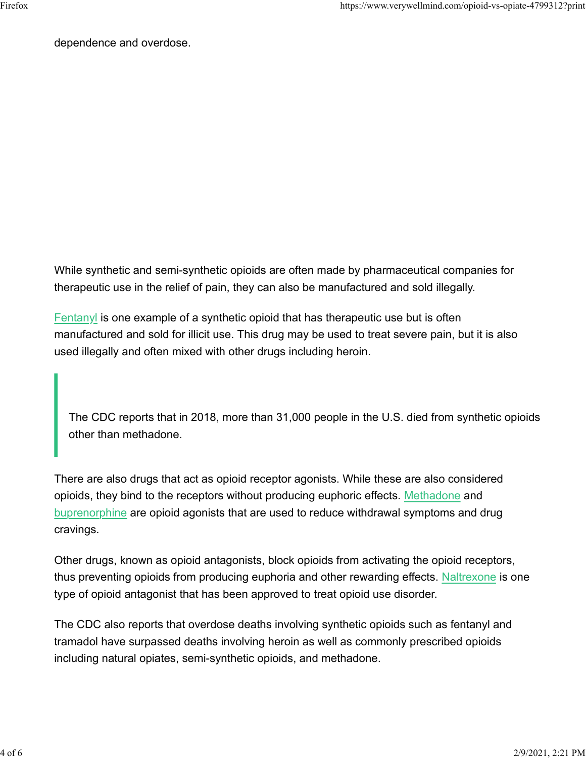dependence and overdose.

While synthetic and semi-synthetic opioids are often made by pharmaceutical companies for therapeutic use in the relief of pain, they can also be manufactured and sold illegally.

Fentanyl is one example of a synthetic opioid that has therapeutic use but is often manufactured and sold for illicit use. This drug may be used to treat severe pain, but it is also used illegally and often mixed with other drugs including heroin.

The CDC reports that in 2018, more than 31,000 people in the U.S. died from synthetic opioids other than methadone.

There are also drugs that act as opioid receptor agonists. While these are also considered opioids, they bind to the receptors without producing euphoric effects. Methadone and buprenorphine are opioid agonists that are used to reduce withdrawal symptoms and drug cravings.

Other drugs, known as opioid antagonists, block opioids from activating the opioid receptors, thus preventing opioids from producing euphoria and other rewarding effects. Naltrexone is one type of opioid antagonist that has been approved to treat opioid use disorder.

The CDC also reports that overdose deaths involving synthetic opioids such as fentanyl and tramadol have surpassed deaths involving heroin as well as commonly prescribed opioids including natural opiates, semi-synthetic opioids, and methadone.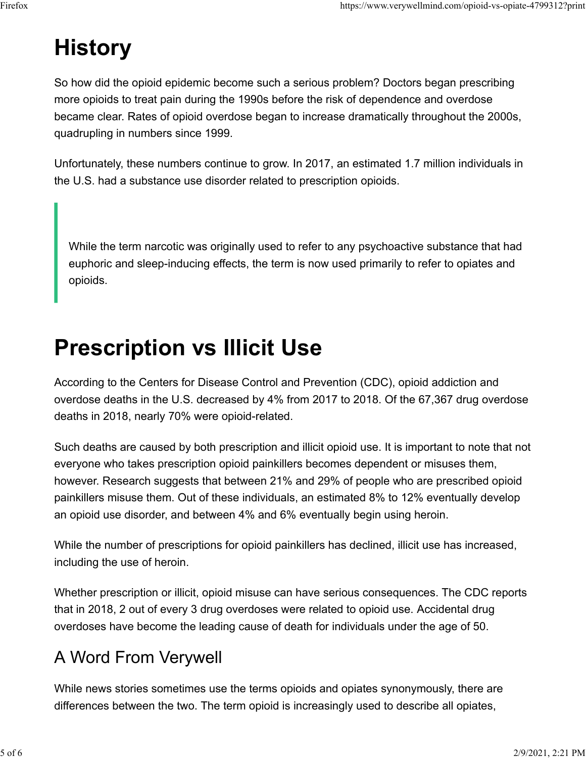### **History**

So how did the opioid epidemic become such a serious problem? Doctors began prescribing more opioids to treat pain during the 1990s before the risk of dependence and overdose became clear. Rates of opioid overdose began to increase dramatically throughout the 2000s, quadrupling in numbers since 1999.

Unfortunately, these numbers continue to grow. In 2017, an estimated 1.7 million individuals in the U.S. had a substance use disorder related to prescription opioids.

While the term narcotic was originally used to refer to any psychoactive substance that had euphoric and sleep-inducing effects, the term is now used primarily to refer to opiates and opioids.

### **Prescription vs Illicit Use**

According to the Centers for Disease Control and Prevention (CDC), opioid addiction and overdose deaths in the U.S. decreased by 4% from 2017 to 2018. Of the 67,367 drug overdose deaths in 2018, nearly 70% were opioid-related.

Such deaths are caused by both prescription and illicit opioid use. It is important to note that not everyone who takes prescription opioid painkillers becomes dependent or misuses them, however. Research suggests that between 21% and 29% of people who are prescribed opioid painkillers misuse them. Out of these individuals, an estimated 8% to 12% eventually develop an opioid use disorder, and between 4% and 6% eventually begin using heroin.

While the number of prescriptions for opioid painkillers has declined, illicit use has increased, including the use of heroin.

Whether prescription or illicit, opioid misuse can have serious consequences. The CDC reports that in 2018, 2 out of every 3 drug overdoses were related to opioid use. Accidental drug overdoses have become the leading cause of death for individuals under the age of 50.

#### A Word From Verywell

While news stories sometimes use the terms opioids and opiates synonymously, there are differences between the two. The term opioid is increasingly used to describe all opiates,